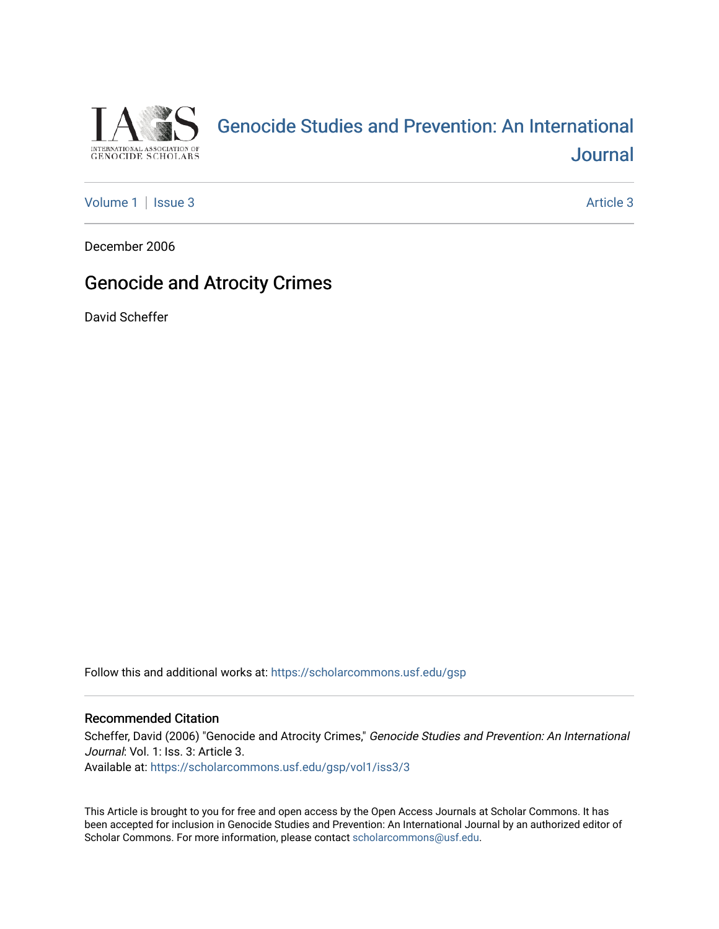

# [Genocide Studies and Prevention: An International](https://scholarcommons.usf.edu/gsp)  **Journal**

[Volume 1](https://scholarcommons.usf.edu/gsp/vol1) | [Issue 3](https://scholarcommons.usf.edu/gsp/vol1/iss3) Article 3

December 2006

# Genocide and Atrocity Crimes

David Scheffer

Follow this and additional works at: [https://scholarcommons.usf.edu/gsp](https://scholarcommons.usf.edu/gsp?utm_source=scholarcommons.usf.edu%2Fgsp%2Fvol1%2Fiss3%2F3&utm_medium=PDF&utm_campaign=PDFCoverPages)

#### Recommended Citation

Scheffer, David (2006) "Genocide and Atrocity Crimes," Genocide Studies and Prevention: An International Journal: Vol. 1: Iss. 3: Article 3. Available at: [https://scholarcommons.usf.edu/gsp/vol1/iss3/3](https://scholarcommons.usf.edu/gsp/vol1/iss3/3?utm_source=scholarcommons.usf.edu%2Fgsp%2Fvol1%2Fiss3%2F3&utm_medium=PDF&utm_campaign=PDFCoverPages)

This Article is brought to you for free and open access by the Open Access Journals at Scholar Commons. It has been accepted for inclusion in Genocide Studies and Prevention: An International Journal by an authorized editor of Scholar Commons. For more information, please contact [scholarcommons@usf.edu](mailto:scholarcommons@usf.edu).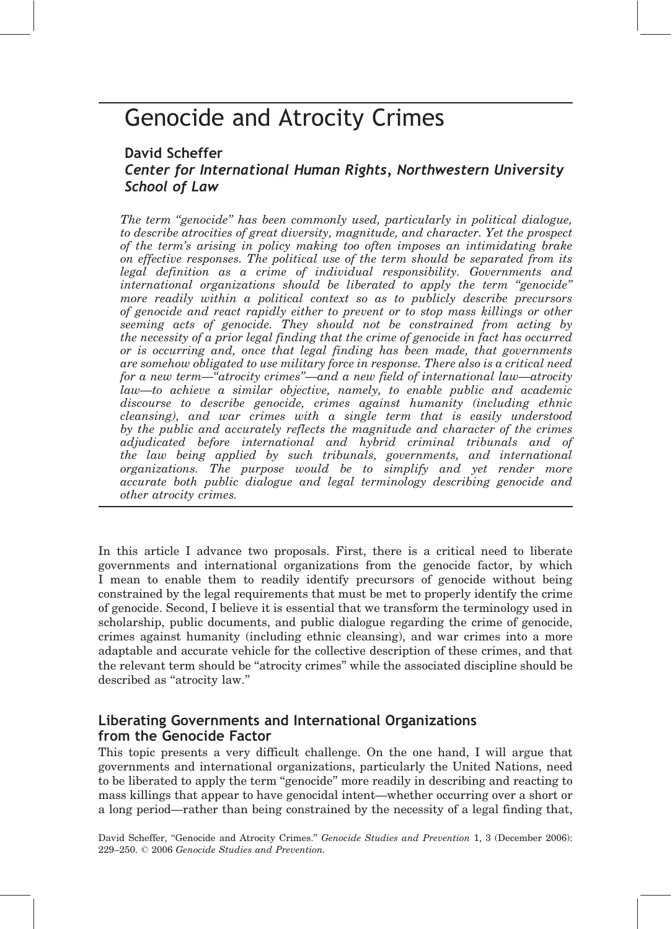# Genocide and Atrocity Crimes

## David Scheffer Center for International Human Rights, Northwestern University School of Law

The term "genocide" has been commonly used, particularly in political dialogue, to describe atrocities of great diversity, magnitude, and character. Yet the prospect of the term's arising in policy making too often imposes an intimidating brake on effective responses. The political use of the term should be separated from its legal definition as a crime of individual responsibility. Governments and international organizations should be liberated to apply the term ''genocide'' more readily within a political context so as to publicly describe precursors of genocide and react rapidly either to prevent or to stop mass killings or other seeming acts of genocide. They should not be constrained from acting by the necessity of a prior legal finding that the crime of genocide in fact has occurred or is occurring and, once that legal finding has been made, that governments are somehow obligated to use military force in response. There also is a critical need for a new term—''atrocity crimes''—and a new field of international law—atrocity law—to achieve a similar objective, namely, to enable public and academic discourse to describe genocide, crimes against humanity (including ethnic cleansing), and war crimes with a single term that is easily understood by the public and accurately reflects the magnitude and character of the crimes adjudicated before international and hybrid criminal tribunals and of the law being applied by such tribunals, governments, and international organizations. The purpose would be to simplify and yet render more accurate both public dialogue and legal terminology describing genocide and other atrocity crimes.

In this article I advance two proposals. First, there is a critical need to liberate governments and international organizations from the genocide factor, by which I mean to enable them to readily identify precursors of genocide without being constrained by the legal requirements that must be met to properly identify the crime of genocide. Second, I believe it is essential that we transform the terminology used in scholarship, public documents, and public dialogue regarding the crime of genocide, crimes against humanity (including ethnic cleansing), and war crimes into a more adaptable and accurate vehicle for the collective description of these crimes, and that the relevant term should be "atrocity crimes" while the associated discipline should be described as "atrocity law."

### Liberating Governments and International Organizations from the Genocide Factor

This topic presents a very difficult challenge. On the one hand, I will argue that governments and international organizations, particularly the United Nations, need to be liberated to apply the term "genocide" more readily in describing and reacting to mass killings that appear to have genocidal intent—whether occurring over a short or a long period—rather than being constrained by the necessity of a legal finding that,

David Scheffer, "Genocide and Atrocity Crimes." Genocide Studies and Prevention 1, 3 (December 2006): 229–250. 2006 Genocide Studies and Prevention.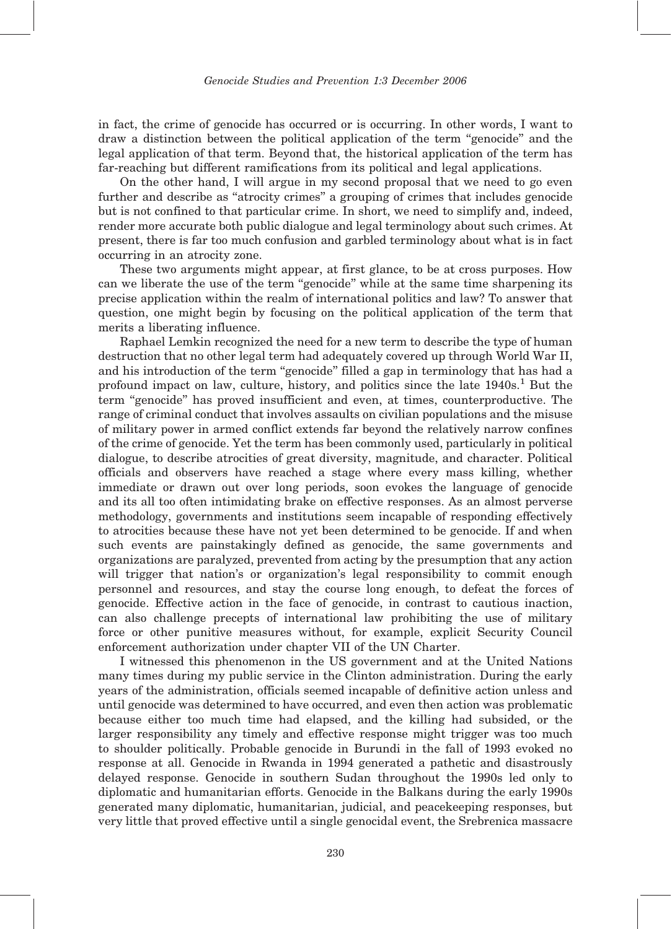in fact, the crime of genocide has occurred or is occurring. In other words, I want to draw a distinction between the political application of the term ''genocide'' and the legal application of that term. Beyond that, the historical application of the term has far-reaching but different ramifications from its political and legal applications.

On the other hand, I will argue in my second proposal that we need to go even further and describe as ''atrocity crimes'' a grouping of crimes that includes genocide but is not confined to that particular crime. In short, we need to simplify and, indeed, render more accurate both public dialogue and legal terminology about such crimes. At present, there is far too much confusion and garbled terminology about what is in fact occurring in an atrocity zone.

These two arguments might appear, at first glance, to be at cross purposes. How can we liberate the use of the term "genocide" while at the same time sharpening its precise application within the realm of international politics and law? To answer that question, one might begin by focusing on the political application of the term that merits a liberating influence.

Raphael Lemkin recognized the need for a new term to describe the type of human destruction that no other legal term had adequately covered up through World War II, and his introduction of the term "genocide" filled a gap in terminology that has had a profound impact on law, culture, history, and politics since the late 1940s.<sup>1</sup> But the term ''genocide'' has proved insufficient and even, at times, counterproductive. The range of criminal conduct that involves assaults on civilian populations and the misuse of military power in armed conflict extends far beyond the relatively narrow confines of the crime of genocide. Yet the term has been commonly used, particularly in political dialogue, to describe atrocities of great diversity, magnitude, and character. Political officials and observers have reached a stage where every mass killing, whether immediate or drawn out over long periods, soon evokes the language of genocide and its all too often intimidating brake on effective responses. As an almost perverse methodology, governments and institutions seem incapable of responding effectively to atrocities because these have not yet been determined to be genocide. If and when such events are painstakingly defined as genocide, the same governments and organizations are paralyzed, prevented from acting by the presumption that any action will trigger that nation's or organization's legal responsibility to commit enough personnel and resources, and stay the course long enough, to defeat the forces of genocide. Effective action in the face of genocide, in contrast to cautious inaction, can also challenge precepts of international law prohibiting the use of military force or other punitive measures without, for example, explicit Security Council enforcement authorization under chapter VII of the UN Charter.

I witnessed this phenomenon in the US government and at the United Nations many times during my public service in the Clinton administration. During the early years of the administration, officials seemed incapable of definitive action unless and until genocide was determined to have occurred, and even then action was problematic because either too much time had elapsed, and the killing had subsided, or the larger responsibility any timely and effective response might trigger was too much to shoulder politically. Probable genocide in Burundi in the fall of 1993 evoked no response at all. Genocide in Rwanda in 1994 generated a pathetic and disastrously delayed response. Genocide in southern Sudan throughout the 1990s led only to diplomatic and humanitarian efforts. Genocide in the Balkans during the early 1990s generated many diplomatic, humanitarian, judicial, and peacekeeping responses, but very little that proved effective until a single genocidal event, the Srebrenica massacre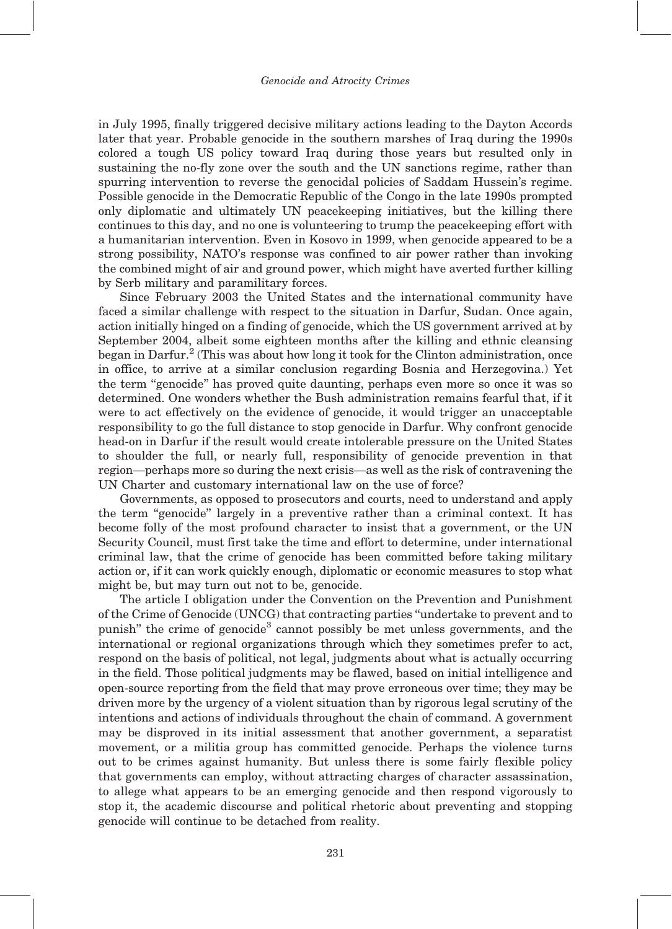in July 1995, finally triggered decisive military actions leading to the Dayton Accords later that year. Probable genocide in the southern marshes of Iraq during the 1990s colored a tough US policy toward Iraq during those years but resulted only in sustaining the no-fly zone over the south and the UN sanctions regime, rather than spurring intervention to reverse the genocidal policies of Saddam Hussein's regime. Possible genocide in the Democratic Republic of the Congo in the late 1990s prompted only diplomatic and ultimately UN peacekeeping initiatives, but the killing there continues to this day, and no one is volunteering to trump the peacekeeping effort with a humanitarian intervention. Even in Kosovo in 1999, when genocide appeared to be a strong possibility, NATO's response was confined to air power rather than invoking the combined might of air and ground power, which might have averted further killing by Serb military and paramilitary forces.

Since February 2003 the United States and the international community have faced a similar challenge with respect to the situation in Darfur, Sudan. Once again, action initially hinged on a finding of genocide, which the US government arrived at by September 2004, albeit some eighteen months after the killing and ethnic cleansing began in Darfur.<sup>2</sup> (This was about how long it took for the Clinton administration, once in office, to arrive at a similar conclusion regarding Bosnia and Herzegovina.) Yet the term ''genocide'' has proved quite daunting, perhaps even more so once it was so determined. One wonders whether the Bush administration remains fearful that, if it were to act effectively on the evidence of genocide, it would trigger an unacceptable responsibility to go the full distance to stop genocide in Darfur. Why confront genocide head-on in Darfur if the result would create intolerable pressure on the United States to shoulder the full, or nearly full, responsibility of genocide prevention in that region—perhaps more so during the next crisis—as well as the risk of contravening the UN Charter and customary international law on the use of force?

Governments, as opposed to prosecutors and courts, need to understand and apply the term ''genocide'' largely in a preventive rather than a criminal context. It has become folly of the most profound character to insist that a government, or the UN Security Council, must first take the time and effort to determine, under international criminal law, that the crime of genocide has been committed before taking military action or, if it can work quickly enough, diplomatic or economic measures to stop what might be, but may turn out not to be, genocide.

The article I obligation under the Convention on the Prevention and Punishment of the Crime of Genocide (UNCG) that contracting parties ''undertake to prevent and to punish" the crime of genocide<sup>3</sup> cannot possibly be met unless governments, and the international or regional organizations through which they sometimes prefer to act, respond on the basis of political, not legal, judgments about what is actually occurring in the field. Those political judgments may be flawed, based on initial intelligence and open-source reporting from the field that may prove erroneous over time; they may be driven more by the urgency of a violent situation than by rigorous legal scrutiny of the intentions and actions of individuals throughout the chain of command. A government may be disproved in its initial assessment that another government, a separatist movement, or a militia group has committed genocide. Perhaps the violence turns out to be crimes against humanity. But unless there is some fairly flexible policy that governments can employ, without attracting charges of character assassination, to allege what appears to be an emerging genocide and then respond vigorously to stop it, the academic discourse and political rhetoric about preventing and stopping genocide will continue to be detached from reality.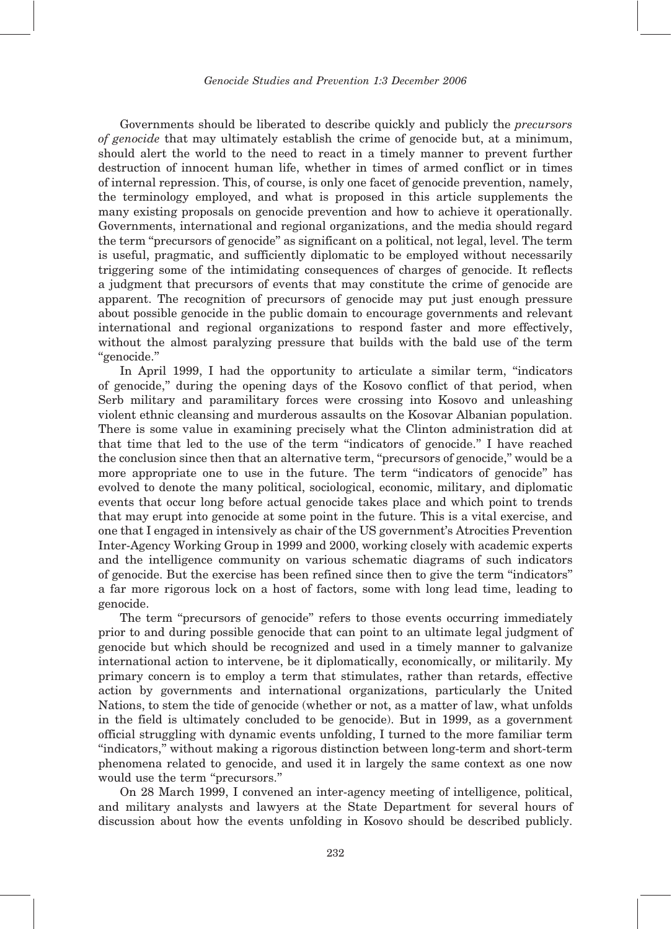Governments should be liberated to describe quickly and publicly the precursors of genocide that may ultimately establish the crime of genocide but, at a minimum, should alert the world to the need to react in a timely manner to prevent further destruction of innocent human life, whether in times of armed conflict or in times of internal repression. This, of course, is only one facet of genocide prevention, namely, the terminology employed, and what is proposed in this article supplements the many existing proposals on genocide prevention and how to achieve it operationally. Governments, international and regional organizations, and the media should regard the term ''precursors of genocide'' as significant on a political, not legal, level. The term is useful, pragmatic, and sufficiently diplomatic to be employed without necessarily triggering some of the intimidating consequences of charges of genocide. It reflects a judgment that precursors of events that may constitute the crime of genocide are apparent. The recognition of precursors of genocide may put just enough pressure about possible genocide in the public domain to encourage governments and relevant international and regional organizations to respond faster and more effectively, without the almost paralyzing pressure that builds with the bald use of the term ''genocide.''

In April 1999, I had the opportunity to articulate a similar term, ''indicators of genocide,'' during the opening days of the Kosovo conflict of that period, when Serb military and paramilitary forces were crossing into Kosovo and unleashing violent ethnic cleansing and murderous assaults on the Kosovar Albanian population. There is some value in examining precisely what the Clinton administration did at that time that led to the use of the term ''indicators of genocide.'' I have reached the conclusion since then that an alternative term, ''precursors of genocide,'' would be a more appropriate one to use in the future. The term ''indicators of genocide'' has evolved to denote the many political, sociological, economic, military, and diplomatic events that occur long before actual genocide takes place and which point to trends that may erupt into genocide at some point in the future. This is a vital exercise, and one that I engaged in intensively as chair of the US government's Atrocities Prevention Inter-Agency Working Group in 1999 and 2000, working closely with academic experts and the intelligence community on various schematic diagrams of such indicators of genocide. But the exercise has been refined since then to give the term ''indicators'' a far more rigorous lock on a host of factors, some with long lead time, leading to genocide.

The term ''precursors of genocide'' refers to those events occurring immediately prior to and during possible genocide that can point to an ultimate legal judgment of genocide but which should be recognized and used in a timely manner to galvanize international action to intervene, be it diplomatically, economically, or militarily. My primary concern is to employ a term that stimulates, rather than retards, effective action by governments and international organizations, particularly the United Nations, to stem the tide of genocide (whether or not, as a matter of law, what unfolds in the field is ultimately concluded to be genocide). But in 1999, as a government official struggling with dynamic events unfolding, I turned to the more familiar term ''indicators,'' without making a rigorous distinction between long-term and short-term phenomena related to genocide, and used it in largely the same context as one now would use the term ''precursors.''

On 28 March 1999, I convened an inter-agency meeting of intelligence, political, and military analysts and lawyers at the State Department for several hours of discussion about how the events unfolding in Kosovo should be described publicly.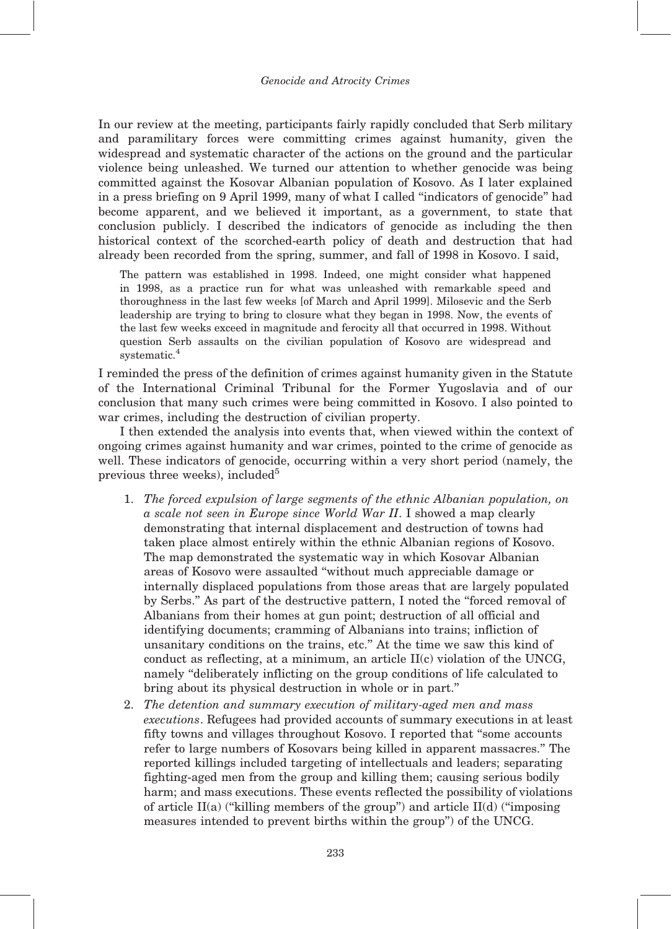In our review at the meeting, participants fairly rapidly concluded that Serb military and paramilitary forces were committing crimes against humanity, given the widespread and systematic character of the actions on the ground and the particular violence being unleashed. We turned our attention to whether genocide was being committed against the Kosovar Albanian population of Kosovo. As I later explained in a press briefing on 9 April 1999, many of what I called ''indicators of genocide'' had become apparent, and we believed it important, as a government, to state that conclusion publicly. I described the indicators of genocide as including the then historical context of the scorched-earth policy of death and destruction that had already been recorded from the spring, summer, and fall of 1998 in Kosovo. I said,

The pattern was established in 1998. Indeed, one might consider what happened in 1998, as a practice run for what was unleashed with remarkable speed and thoroughness in the last few weeks [of March and April 1999]. Milosevic and the Serb leadership are trying to bring to closure what they began in 1998. Now, the events of the last few weeks exceed in magnitude and ferocity all that occurred in 1998. Without question Serb assaults on the civilian population of Kosovo are widespread and systematic.<sup>4</sup>

I reminded the press of the definition of crimes against humanity given in the Statute of the International Criminal Tribunal for the Former Yugoslavia and of our conclusion that many such crimes were being committed in Kosovo. I also pointed to war crimes, including the destruction of civilian property.

I then extended the analysis into events that, when viewed within the context of ongoing crimes against humanity and war crimes, pointed to the crime of genocide as well. These indicators of genocide, occurring within a very short period (namely, the previous three weeks), included $5$ 

- 1. The forced expulsion of large segments of the ethnic Albanian population, on a scale not seen in Europe since World War II. I showed a map clearly demonstrating that internal displacement and destruction of towns had taken place almost entirely within the ethnic Albanian regions of Kosovo. The map demonstrated the systematic way in which Kosovar Albanian areas of Kosovo were assaulted ''without much appreciable damage or internally displaced populations from those areas that are largely populated by Serbs.'' As part of the destructive pattern, I noted the ''forced removal of Albanians from their homes at gun point; destruction of all official and identifying documents; cramming of Albanians into trains; infliction of unsanitary conditions on the trains, etc.'' At the time we saw this kind of conduct as reflecting, at a minimum, an article II(c) violation of the UNCG, namely ''deliberately inflicting on the group conditions of life calculated to bring about its physical destruction in whole or in part.''
- 2. The detention and summary execution of military-aged men and mass executions. Refugees had provided accounts of summary executions in at least fifty towns and villages throughout Kosovo. I reported that ''some accounts refer to large numbers of Kosovars being killed in apparent massacres.'' The reported killings included targeting of intellectuals and leaders; separating fighting-aged men from the group and killing them; causing serious bodily harm; and mass executions. These events reflected the possibility of violations of article II(a) ("killing members of the group") and article II(d) ("imposing measures intended to prevent births within the group'') of the UNCG.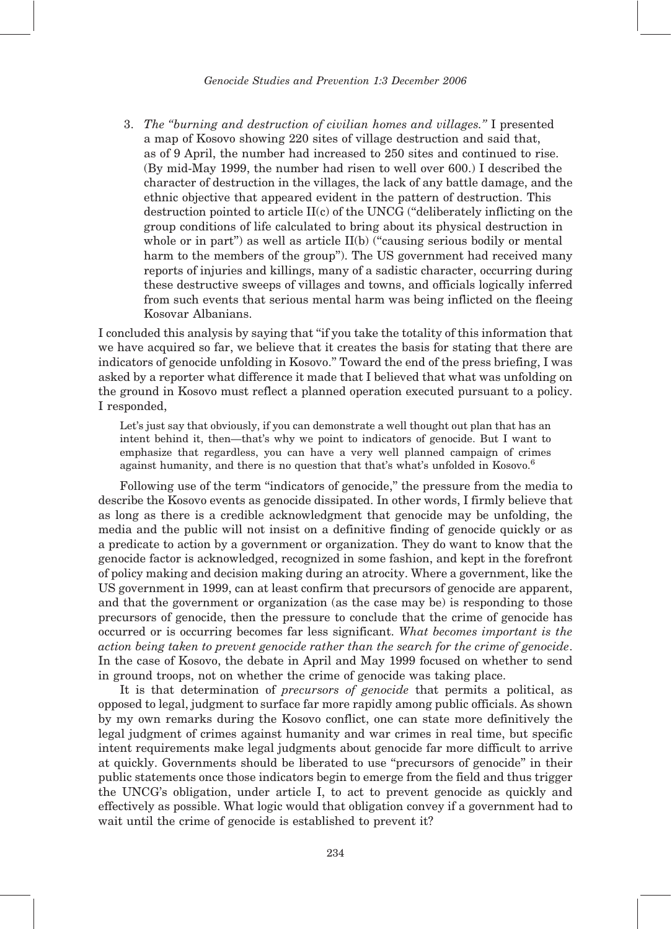3. The ''burning and destruction of civilian homes and villages.'' I presented a map of Kosovo showing 220 sites of village destruction and said that, as of 9 April, the number had increased to 250 sites and continued to rise. (By mid-May 1999, the number had risen to well over 600.) I described the character of destruction in the villages, the lack of any battle damage, and the ethnic objective that appeared evident in the pattern of destruction. This destruction pointed to article II(c) of the UNCG (''deliberately inflicting on the group conditions of life calculated to bring about its physical destruction in whole or in part") as well as article II(b) ("causing serious bodily or mental harm to the members of the group''). The US government had received many reports of injuries and killings, many of a sadistic character, occurring during these destructive sweeps of villages and towns, and officials logically inferred from such events that serious mental harm was being inflicted on the fleeing Kosovar Albanians.

I concluded this analysis by saying that ''if you take the totality of this information that we have acquired so far, we believe that it creates the basis for stating that there are indicators of genocide unfolding in Kosovo.'' Toward the end of the press briefing, I was asked by a reporter what difference it made that I believed that what was unfolding on the ground in Kosovo must reflect a planned operation executed pursuant to a policy. I responded,

Let's just say that obviously, if you can demonstrate a well thought out plan that has an intent behind it, then—that's why we point to indicators of genocide. But I want to emphasize that regardless, you can have a very well planned campaign of crimes against humanity, and there is no question that that's what's unfolded in Kosovo.<sup>6</sup>

Following use of the term ''indicators of genocide,'' the pressure from the media to describe the Kosovo events as genocide dissipated. In other words, I firmly believe that as long as there is a credible acknowledgment that genocide may be unfolding, the media and the public will not insist on a definitive finding of genocide quickly or as a predicate to action by a government or organization. They do want to know that the genocide factor is acknowledged, recognized in some fashion, and kept in the forefront of policy making and decision making during an atrocity. Where a government, like the US government in 1999, can at least confirm that precursors of genocide are apparent, and that the government or organization (as the case may be) is responding to those precursors of genocide, then the pressure to conclude that the crime of genocide has occurred or is occurring becomes far less significant. What becomes important is the action being taken to prevent genocide rather than the search for the crime of genocide. In the case of Kosovo, the debate in April and May 1999 focused on whether to send in ground troops, not on whether the crime of genocide was taking place.

It is that determination of precursors of genocide that permits a political, as opposed to legal, judgment to surface far more rapidly among public officials. As shown by my own remarks during the Kosovo conflict, one can state more definitively the legal judgment of crimes against humanity and war crimes in real time, but specific intent requirements make legal judgments about genocide far more difficult to arrive at quickly. Governments should be liberated to use ''precursors of genocide'' in their public statements once those indicators begin to emerge from the field and thus trigger the UNCG's obligation, under article I, to act to prevent genocide as quickly and effectively as possible. What logic would that obligation convey if a government had to wait until the crime of genocide is established to prevent it?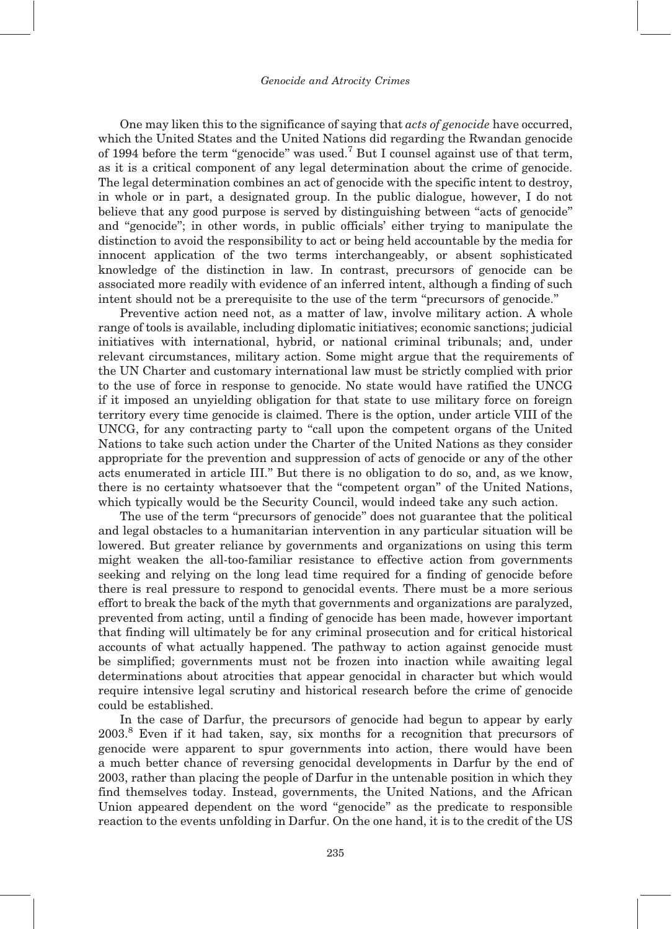One may liken this to the significance of saying that *acts of genocide* have occurred, which the United States and the United Nations did regarding the Rwandan genocide of 1994 before the term "genocide" was used.<sup>7</sup> But I counsel against use of that term, as it is a critical component of any legal determination about the crime of genocide. The legal determination combines an act of genocide with the specific intent to destroy, in whole or in part, a designated group. In the public dialogue, however, I do not believe that any good purpose is served by distinguishing between ''acts of genocide'' and ''genocide''; in other words, in public officials' either trying to manipulate the distinction to avoid the responsibility to act or being held accountable by the media for innocent application of the two terms interchangeably, or absent sophisticated knowledge of the distinction in law. In contrast, precursors of genocide can be associated more readily with evidence of an inferred intent, although a finding of such intent should not be a prerequisite to the use of the term "precursors of genocide."

Preventive action need not, as a matter of law, involve military action. A whole range of tools is available, including diplomatic initiatives; economic sanctions; judicial initiatives with international, hybrid, or national criminal tribunals; and, under relevant circumstances, military action. Some might argue that the requirements of the UN Charter and customary international law must be strictly complied with prior to the use of force in response to genocide. No state would have ratified the UNCG if it imposed an unyielding obligation for that state to use military force on foreign territory every time genocide is claimed. There is the option, under article VIII of the UNCG, for any contracting party to ''call upon the competent organs of the United Nations to take such action under the Charter of the United Nations as they consider appropriate for the prevention and suppression of acts of genocide or any of the other acts enumerated in article III.'' But there is no obligation to do so, and, as we know, there is no certainty whatsoever that the ''competent organ'' of the United Nations, which typically would be the Security Council, would indeed take any such action.

The use of the term ''precursors of genocide'' does not guarantee that the political and legal obstacles to a humanitarian intervention in any particular situation will be lowered. But greater reliance by governments and organizations on using this term might weaken the all-too-familiar resistance to effective action from governments seeking and relying on the long lead time required for a finding of genocide before there is real pressure to respond to genocidal events. There must be a more serious effort to break the back of the myth that governments and organizations are paralyzed, prevented from acting, until a finding of genocide has been made, however important that finding will ultimately be for any criminal prosecution and for critical historical accounts of what actually happened. The pathway to action against genocide must be simplified; governments must not be frozen into inaction while awaiting legal determinations about atrocities that appear genocidal in character but which would require intensive legal scrutiny and historical research before the crime of genocide could be established.

In the case of Darfur, the precursors of genocide had begun to appear by early 2003.<sup>8</sup> Even if it had taken, say, six months for a recognition that precursors of genocide were apparent to spur governments into action, there would have been a much better chance of reversing genocidal developments in Darfur by the end of 2003, rather than placing the people of Darfur in the untenable position in which they find themselves today. Instead, governments, the United Nations, and the African Union appeared dependent on the word ''genocide'' as the predicate to responsible reaction to the events unfolding in Darfur. On the one hand, it is to the credit of the US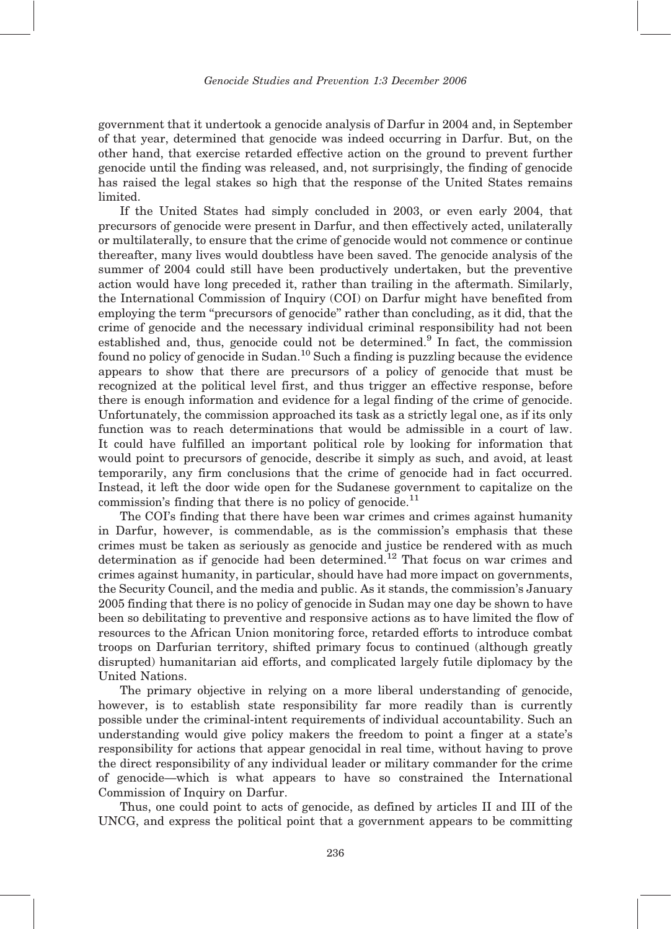government that it undertook a genocide analysis of Darfur in 2004 and, in September of that year, determined that genocide was indeed occurring in Darfur. But, on the other hand, that exercise retarded effective action on the ground to prevent further genocide until the finding was released, and, not surprisingly, the finding of genocide has raised the legal stakes so high that the response of the United States remains limited.

If the United States had simply concluded in 2003, or even early 2004, that precursors of genocide were present in Darfur, and then effectively acted, unilaterally or multilaterally, to ensure that the crime of genocide would not commence or continue thereafter, many lives would doubtless have been saved. The genocide analysis of the summer of 2004 could still have been productively undertaken, but the preventive action would have long preceded it, rather than trailing in the aftermath. Similarly, the International Commission of Inquiry (COI) on Darfur might have benefited from employing the term ''precursors of genocide'' rather than concluding, as it did, that the crime of genocide and the necessary individual criminal responsibility had not been established and, thus, genocide could not be determined.<sup>9</sup> In fact, the commission found no policy of genocide in Sudan.<sup>10</sup> Such a finding is puzzling because the evidence appears to show that there are precursors of a policy of genocide that must be recognized at the political level first, and thus trigger an effective response, before there is enough information and evidence for a legal finding of the crime of genocide. Unfortunately, the commission approached its task as a strictly legal one, as if its only function was to reach determinations that would be admissible in a court of law. It could have fulfilled an important political role by looking for information that would point to precursors of genocide, describe it simply as such, and avoid, at least temporarily, any firm conclusions that the crime of genocide had in fact occurred. Instead, it left the door wide open for the Sudanese government to capitalize on the commission's finding that there is no policy of genocide.<sup>11</sup>

The COI's finding that there have been war crimes and crimes against humanity in Darfur, however, is commendable, as is the commission's emphasis that these crimes must be taken as seriously as genocide and justice be rendered with as much determination as if genocide had been determined.<sup>12</sup> That focus on war crimes and crimes against humanity, in particular, should have had more impact on governments, the Security Council, and the media and public. As it stands, the commission's January 2005 finding that there is no policy of genocide in Sudan may one day be shown to have been so debilitating to preventive and responsive actions as to have limited the flow of resources to the African Union monitoring force, retarded efforts to introduce combat troops on Darfurian territory, shifted primary focus to continued (although greatly disrupted) humanitarian aid efforts, and complicated largely futile diplomacy by the United Nations.

The primary objective in relying on a more liberal understanding of genocide, however, is to establish state responsibility far more readily than is currently possible under the criminal-intent requirements of individual accountability. Such an understanding would give policy makers the freedom to point a finger at a state's responsibility for actions that appear genocidal in real time, without having to prove the direct responsibility of any individual leader or military commander for the crime of genocide—which is what appears to have so constrained the International Commission of Inquiry on Darfur.

Thus, one could point to acts of genocide, as defined by articles II and III of the UNCG, and express the political point that a government appears to be committing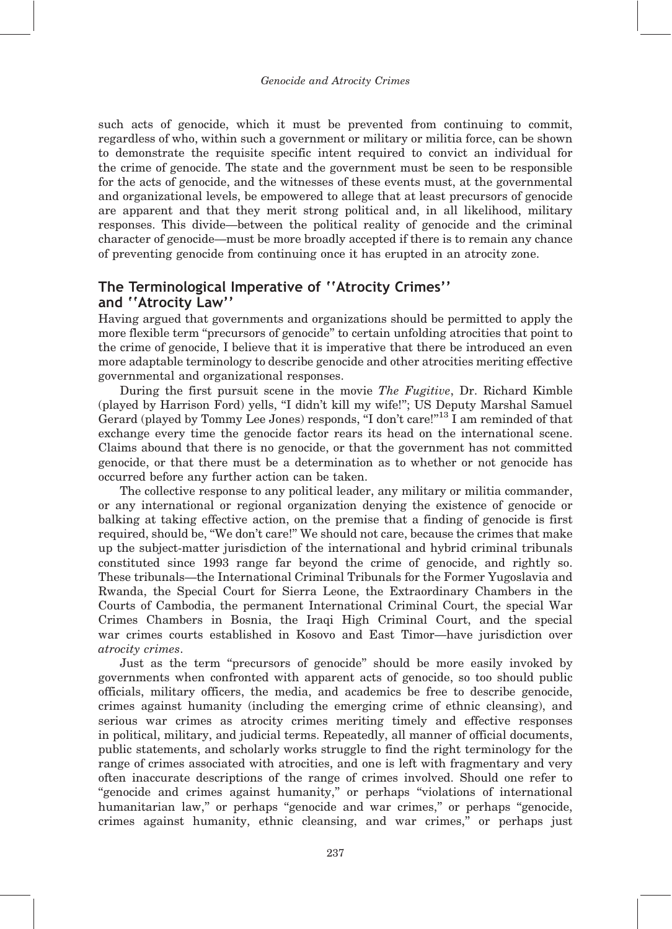such acts of genocide, which it must be prevented from continuing to commit, regardless of who, within such a government or military or militia force, can be shown to demonstrate the requisite specific intent required to convict an individual for the crime of genocide. The state and the government must be seen to be responsible for the acts of genocide, and the witnesses of these events must, at the governmental and organizational levels, be empowered to allege that at least precursors of genocide are apparent and that they merit strong political and, in all likelihood, military responses. This divide—between the political reality of genocide and the criminal character of genocide—must be more broadly accepted if there is to remain any chance of preventing genocide from continuing once it has erupted in an atrocity zone.

### The Terminological Imperative of ''Atrocity Crimes'' and ''Atrocity Law''

Having argued that governments and organizations should be permitted to apply the more flexible term "precursors of genocide" to certain unfolding atrocities that point to the crime of genocide, I believe that it is imperative that there be introduced an even more adaptable terminology to describe genocide and other atrocities meriting effective governmental and organizational responses.

During the first pursuit scene in the movie The Fugitive, Dr. Richard Kimble (played by Harrison Ford) yells, ''I didn't kill my wife!''; US Deputy Marshal Samuel Gerard (played by Tommy Lee Jones) responds, "I don't care!"<sup>13</sup> I am reminded of that exchange every time the genocide factor rears its head on the international scene. Claims abound that there is no genocide, or that the government has not committed genocide, or that there must be a determination as to whether or not genocide has occurred before any further action can be taken.

The collective response to any political leader, any military or militia commander, or any international or regional organization denying the existence of genocide or balking at taking effective action, on the premise that a finding of genocide is first required, should be, ''We don't care!'' We should not care, because the crimes that make up the subject-matter jurisdiction of the international and hybrid criminal tribunals constituted since 1993 range far beyond the crime of genocide, and rightly so. These tribunals—the International Criminal Tribunals for the Former Yugoslavia and Rwanda, the Special Court for Sierra Leone, the Extraordinary Chambers in the Courts of Cambodia, the permanent International Criminal Court, the special War Crimes Chambers in Bosnia, the Iraqi High Criminal Court, and the special war crimes courts established in Kosovo and East Timor—have jurisdiction over atrocity crimes.

Just as the term ''precursors of genocide'' should be more easily invoked by governments when confronted with apparent acts of genocide, so too should public officials, military officers, the media, and academics be free to describe genocide, crimes against humanity (including the emerging crime of ethnic cleansing), and serious war crimes as atrocity crimes meriting timely and effective responses in political, military, and judicial terms. Repeatedly, all manner of official documents, public statements, and scholarly works struggle to find the right terminology for the range of crimes associated with atrocities, and one is left with fragmentary and very often inaccurate descriptions of the range of crimes involved. Should one refer to ''genocide and crimes against humanity,'' or perhaps ''violations of international humanitarian law," or perhaps "genocide and war crimes," or perhaps "genocide, crimes against humanity, ethnic cleansing, and war crimes,'' or perhaps just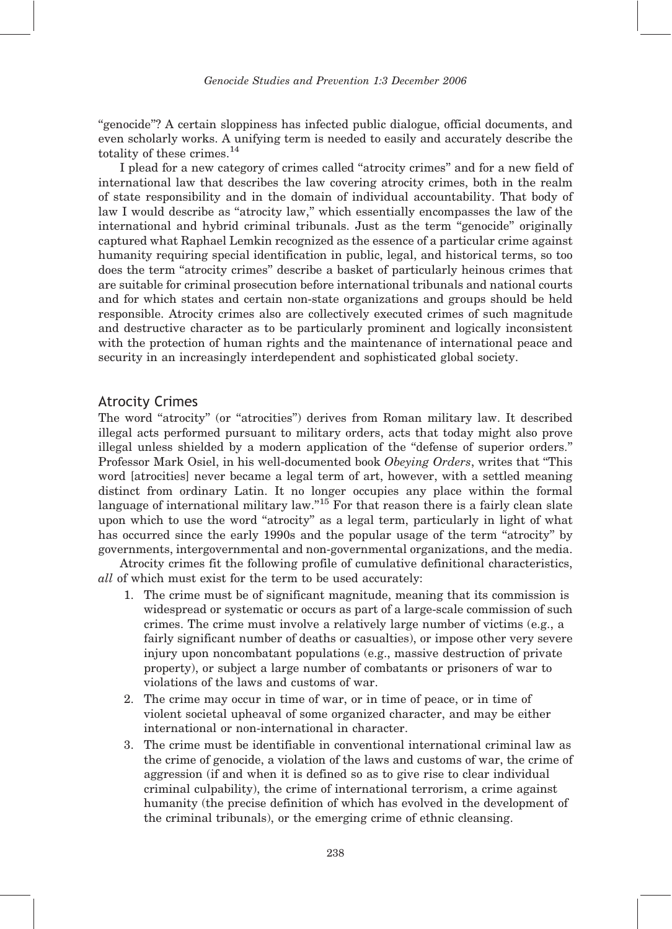''genocide''? A certain sloppiness has infected public dialogue, official documents, and even scholarly works. A unifying term is needed to easily and accurately describe the totality of these crimes.<sup>14</sup>

I plead for a new category of crimes called ''atrocity crimes'' and for a new field of international law that describes the law covering atrocity crimes, both in the realm of state responsibility and in the domain of individual accountability. That body of law I would describe as "atrocity law," which essentially encompasses the law of the international and hybrid criminal tribunals. Just as the term ''genocide'' originally captured what Raphael Lemkin recognized as the essence of a particular crime against humanity requiring special identification in public, legal, and historical terms, so too does the term "atrocity crimes" describe a basket of particularly heinous crimes that are suitable for criminal prosecution before international tribunals and national courts and for which states and certain non-state organizations and groups should be held responsible. Atrocity crimes also are collectively executed crimes of such magnitude and destructive character as to be particularly prominent and logically inconsistent with the protection of human rights and the maintenance of international peace and security in an increasingly interdependent and sophisticated global society.

### Atrocity Crimes

The word "atrocity" (or "atrocities") derives from Roman military law. It described illegal acts performed pursuant to military orders, acts that today might also prove illegal unless shielded by a modern application of the ''defense of superior orders.'' Professor Mark Osiel, in his well-documented book Obeying Orders, writes that ''This word [atrocities] never became a legal term of art, however, with a settled meaning distinct from ordinary Latin. It no longer occupies any place within the formal language of international military law."<sup>15</sup> For that reason there is a fairly clean slate upon which to use the word ''atrocity'' as a legal term, particularly in light of what has occurred since the early 1990s and the popular usage of the term "atrocity" by governments, intergovernmental and non-governmental organizations, and the media.

Atrocity crimes fit the following profile of cumulative definitional characteristics, all of which must exist for the term to be used accurately:

- 1. The crime must be of significant magnitude, meaning that its commission is widespread or systematic or occurs as part of a large-scale commission of such crimes. The crime must involve a relatively large number of victims (e.g., a fairly significant number of deaths or casualties), or impose other very severe injury upon noncombatant populations (e.g., massive destruction of private property), or subject a large number of combatants or prisoners of war to violations of the laws and customs of war.
- 2. The crime may occur in time of war, or in time of peace, or in time of violent societal upheaval of some organized character, and may be either international or non-international in character.
- 3. The crime must be identifiable in conventional international criminal law as the crime of genocide, a violation of the laws and customs of war, the crime of aggression (if and when it is defined so as to give rise to clear individual criminal culpability), the crime of international terrorism, a crime against humanity (the precise definition of which has evolved in the development of the criminal tribunals), or the emerging crime of ethnic cleansing.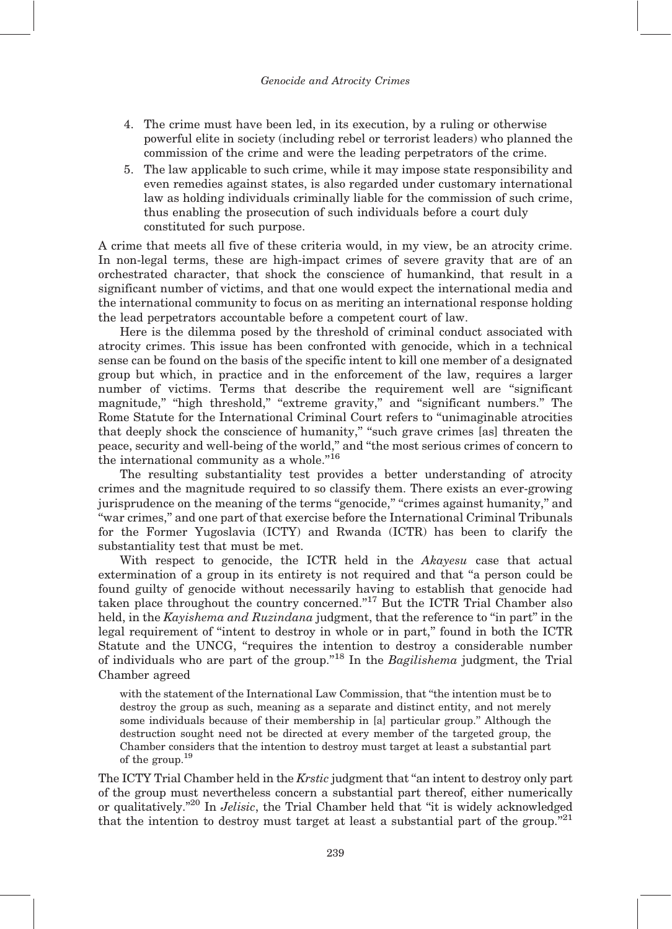- 4. The crime must have been led, in its execution, by a ruling or otherwise powerful elite in society (including rebel or terrorist leaders) who planned the commission of the crime and were the leading perpetrators of the crime.
- 5. The law applicable to such crime, while it may impose state responsibility and even remedies against states, is also regarded under customary international law as holding individuals criminally liable for the commission of such crime, thus enabling the prosecution of such individuals before a court duly constituted for such purpose.

A crime that meets all five of these criteria would, in my view, be an atrocity crime. In non-legal terms, these are high-impact crimes of severe gravity that are of an orchestrated character, that shock the conscience of humankind, that result in a significant number of victims, and that one would expect the international media and the international community to focus on as meriting an international response holding the lead perpetrators accountable before a competent court of law.

Here is the dilemma posed by the threshold of criminal conduct associated with atrocity crimes. This issue has been confronted with genocide, which in a technical sense can be found on the basis of the specific intent to kill one member of a designated group but which, in practice and in the enforcement of the law, requires a larger number of victims. Terms that describe the requirement well are "significant magnitude," "high threshold," "extreme gravity," and "significant numbers." The Rome Statute for the International Criminal Court refers to ''unimaginable atrocities that deeply shock the conscience of humanity," "such grave crimes [as] threaten the peace, security and well-being of the world,'' and ''the most serious crimes of concern to the international community as a whole. $"^{16}$ 

The resulting substantiality test provides a better understanding of atrocity crimes and the magnitude required to so classify them. There exists an ever-growing jurisprudence on the meaning of the terms "genocide," "crimes against humanity," and ''war crimes,'' and one part of that exercise before the International Criminal Tribunals for the Former Yugoslavia (ICTY) and Rwanda (ICTR) has been to clarify the substantiality test that must be met.

With respect to genocide, the ICTR held in the Akayesu case that actual extermination of a group in its entirety is not required and that "a person could be found guilty of genocide without necessarily having to establish that genocide had taken place throughout the country concerned. $17$ <sup>7</sup> But the ICTR Trial Chamber also held, in the Kayishema and Ruzindana judgment, that the reference to "in part" in the legal requirement of ''intent to destroy in whole or in part,'' found in both the ICTR Statute and the UNCG, ''requires the intention to destroy a considerable number of individuals who are part of the group."<sup>18</sup> In the *Bagilishema* judgment, the Trial Chamber agreed

with the statement of the International Law Commission, that ''the intention must be to destroy the group as such, meaning as a separate and distinct entity, and not merely some individuals because of their membership in [a] particular group.'' Although the destruction sought need not be directed at every member of the targeted group, the Chamber considers that the intention to destroy must target at least a substantial part of the group.<sup>19</sup>

The ICTY Trial Chamber held in the Krstic judgment that ''an intent to destroy only part of the group must nevertheless concern a substantial part thereof, either numerically or qualitatively."<sup>20</sup> In *Jelisic*, the Trial Chamber held that "it is widely acknowledged that the intention to destroy must target at least a substantial part of the group.<sup>"21</sup>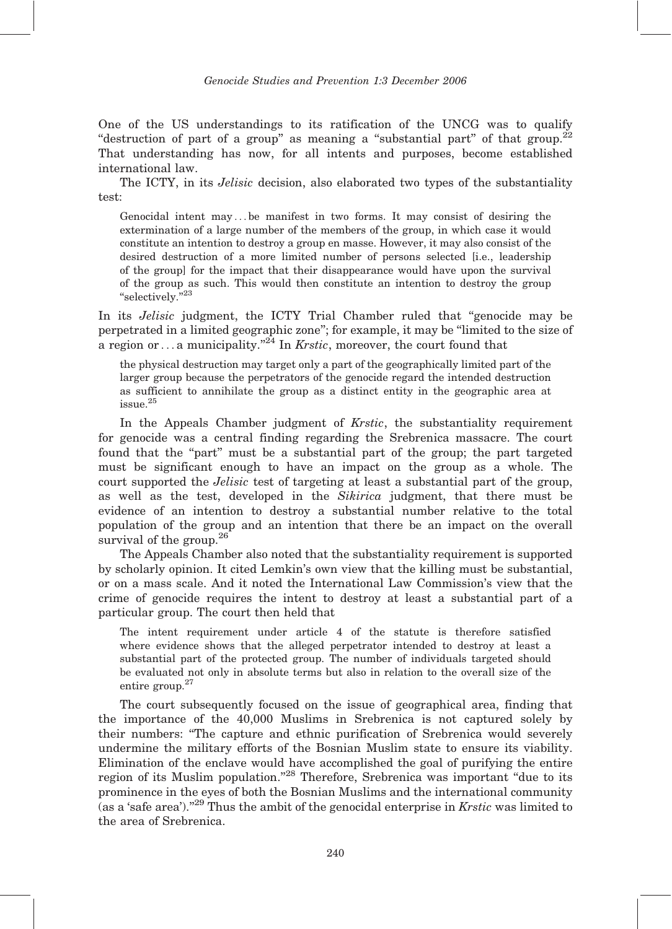One of the US understandings to its ratification of the UNCG was to qualify "destruction of part of a group" as meaning a "substantial part" of that group. $^{22}$ That understanding has now, for all intents and purposes, become established international law.

The ICTY, in its *Jelisic* decision, also elaborated two types of the substantiality test:

Genocidal intent may ... be manifest in two forms. It may consist of desiring the extermination of a large number of the members of the group, in which case it would constitute an intention to destroy a group en masse. However, it may also consist of the desired destruction of a more limited number of persons selected [i.e., leadership of the group] for the impact that their disappearance would have upon the survival of the group as such. This would then constitute an intention to destroy the group "selectively."<sup>23</sup>

In its *Jelisic* judgment, the ICTY Trial Chamber ruled that "genocide may be perpetrated in a limited geographic zone''; for example, it may be ''limited to the size of a region or  $\dots$  a municipality."<sup>24</sup> In *Krstic*, moreover, the court found that

the physical destruction may target only a part of the geographically limited part of the larger group because the perpetrators of the genocide regard the intended destruction as sufficient to annihilate the group as a distinct entity in the geographic area at issue.<sup>25</sup>

In the Appeals Chamber judgment of *Krstic*, the substantiality requirement for genocide was a central finding regarding the Srebrenica massacre. The court found that the "part" must be a substantial part of the group; the part targeted must be significant enough to have an impact on the group as a whole. The court supported the *Jelisic* test of targeting at least a substantial part of the group, as well as the test, developed in the Sikirica judgment, that there must be evidence of an intention to destroy a substantial number relative to the total population of the group and an intention that there be an impact on the overall survival of the group.<sup>26</sup>

The Appeals Chamber also noted that the substantiality requirement is supported by scholarly opinion. It cited Lemkin's own view that the killing must be substantial, or on a mass scale. And it noted the International Law Commission's view that the crime of genocide requires the intent to destroy at least a substantial part of a particular group. The court then held that

The intent requirement under article 4 of the statute is therefore satisfied where evidence shows that the alleged perpetrator intended to destroy at least a substantial part of the protected group. The number of individuals targeted should be evaluated not only in absolute terms but also in relation to the overall size of the entire group.<sup>27</sup>

The court subsequently focused on the issue of geographical area, finding that the importance of the 40,000 Muslims in Srebrenica is not captured solely by their numbers: ''The capture and ethnic purification of Srebrenica would severely undermine the military efforts of the Bosnian Muslim state to ensure its viability. Elimination of the enclave would have accomplished the goal of purifying the entire region of its Muslim population."<sup>28</sup> Therefore, Srebrenica was important "due to its prominence in the eyes of both the Bosnian Muslims and the international community (as a 'safe area')."<sup>29</sup> Thus the ambit of the genocidal enterprise in *Krstic* was limited to the area of Srebrenica.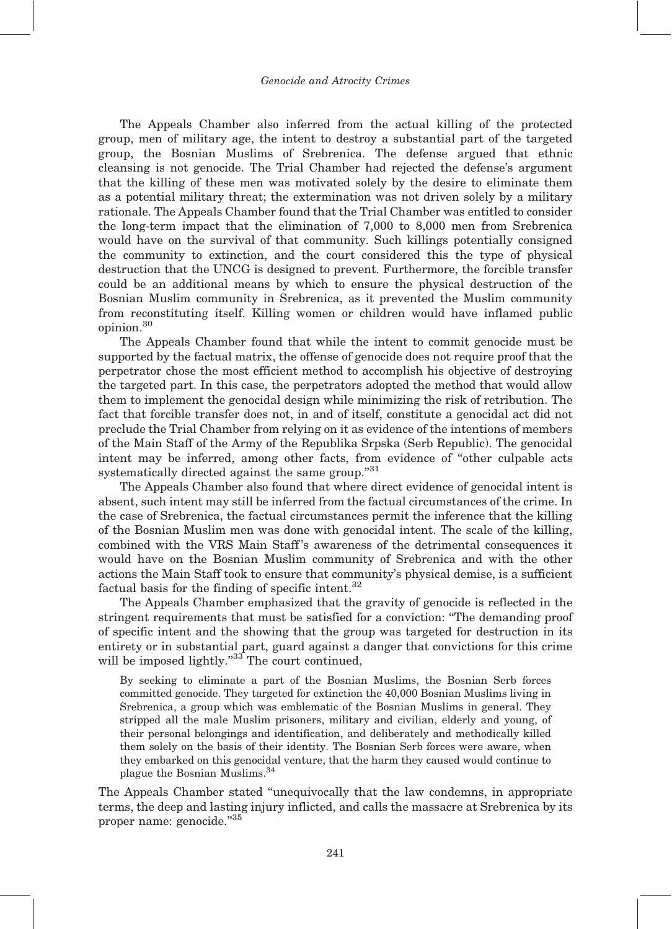The Appeals Chamber also inferred from the actual killing of the protected group, men of military age, the intent to destroy a substantial part of the targeted group, the Bosnian Muslims of Srebrenica. The defense argued that ethnic cleansing is not genocide. The Trial Chamber had rejected the defense's argument that the killing of these men was motivated solely by the desire to eliminate them as a potential military threat; the extermination was not driven solely by a military rationale. The Appeals Chamber found that the Trial Chamber was entitled to consider the long-term impact that the elimination of 7,000 to 8,000 men from Srebrenica would have on the survival of that community. Such killings potentially consigned the community to extinction, and the court considered this the type of physical destruction that the UNCG is designed to prevent. Furthermore, the forcible transfer could be an additional means by which to ensure the physical destruction of the Bosnian Muslim community in Srebrenica, as it prevented the Muslim community from reconstituting itself. Killing women or children would have inflamed public opinion.<sup>30</sup>

The Appeals Chamber found that while the intent to commit genocide must be supported by the factual matrix, the offense of genocide does not require proof that the perpetrator chose the most efficient method to accomplish his objective of destroying the targeted part. In this case, the perpetrators adopted the method that would allow them to implement the genocidal design while minimizing the risk of retribution. The fact that forcible transfer does not, in and of itself, constitute a genocidal act did not preclude the Trial Chamber from relying on it as evidence of the intentions of members of the Main Staff of the Army of the Republika Srpska (Serb Republic). The genocidal intent may be inferred, among other facts, from evidence of ''other culpable acts systematically directed against the same group."<sup>31</sup>

The Appeals Chamber also found that where direct evidence of genocidal intent is absent, such intent may still be inferred from the factual circumstances of the crime. In the case of Srebrenica, the factual circumstances permit the inference that the killing of the Bosnian Muslim men was done with genocidal intent. The scale of the killing, combined with the VRS Main Staff 's awareness of the detrimental consequences it would have on the Bosnian Muslim community of Srebrenica and with the other actions the Main Staff took to ensure that community's physical demise, is a sufficient factual basis for the finding of specific intent. $32$ 

The Appeals Chamber emphasized that the gravity of genocide is reflected in the stringent requirements that must be satisfied for a conviction: ''The demanding proof of specific intent and the showing that the group was targeted for destruction in its entirety or in substantial part, guard against a danger that convictions for this crime will be imposed lightly."<sup>33</sup> The court continued,

By seeking to eliminate a part of the Bosnian Muslims, the Bosnian Serb forces committed genocide. They targeted for extinction the 40,000 Bosnian Muslims living in Srebrenica, a group which was emblematic of the Bosnian Muslims in general. They stripped all the male Muslim prisoners, military and civilian, elderly and young, of their personal belongings and identification, and deliberately and methodically killed them solely on the basis of their identity. The Bosnian Serb forces were aware, when they embarked on this genocidal venture, that the harm they caused would continue to plague the Bosnian Muslims.<sup>34</sup>

The Appeals Chamber stated ''unequivocally that the law condemns, in appropriate terms, the deep and lasting injury inflicted, and calls the massacre at Srebrenica by its proper name: genocide."35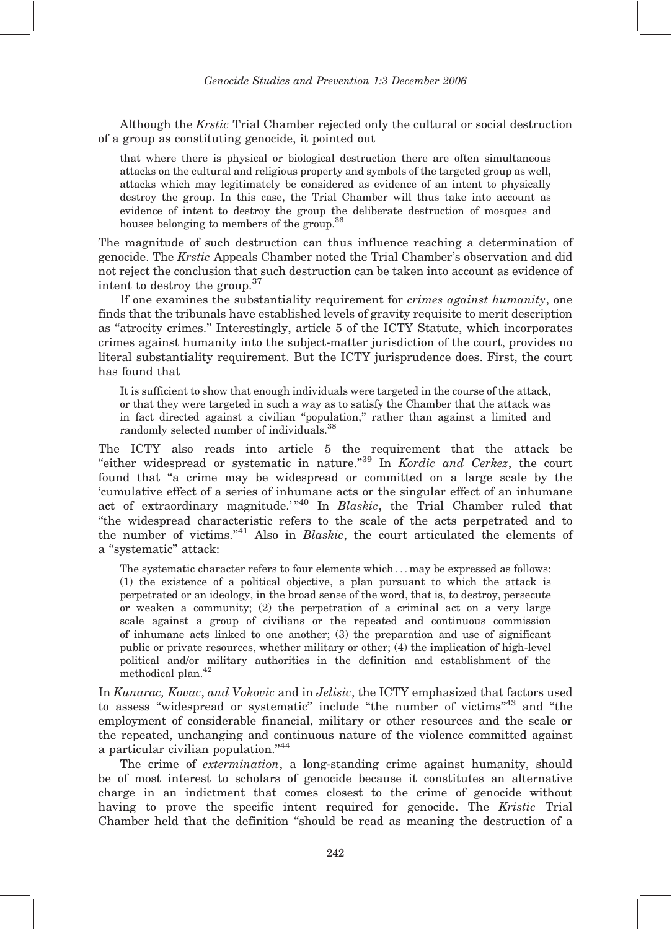Although the Krstic Trial Chamber rejected only the cultural or social destruction of a group as constituting genocide, it pointed out

that where there is physical or biological destruction there are often simultaneous attacks on the cultural and religious property and symbols of the targeted group as well, attacks which may legitimately be considered as evidence of an intent to physically destroy the group. In this case, the Trial Chamber will thus take into account as evidence of intent to destroy the group the deliberate destruction of mosques and houses belonging to members of the group.<sup>36</sup>

The magnitude of such destruction can thus influence reaching a determination of genocide. The Krstic Appeals Chamber noted the Trial Chamber's observation and did not reject the conclusion that such destruction can be taken into account as evidence of intent to destroy the group.<sup>37</sup>

If one examines the substantiality requirement for crimes against humanity, one finds that the tribunals have established levels of gravity requisite to merit description as ''atrocity crimes.'' Interestingly, article 5 of the ICTY Statute, which incorporates crimes against humanity into the subject-matter jurisdiction of the court, provides no literal substantiality requirement. But the ICTY jurisprudence does. First, the court has found that

It is sufficient to show that enough individuals were targeted in the course of the attack, or that they were targeted in such a way as to satisfy the Chamber that the attack was in fact directed against a civilian ''population,'' rather than against a limited and randomly selected number of individuals.<sup>38</sup>

The ICTY also reads into article 5 the requirement that the attack be ''either widespread or systematic in nature.''<sup>39</sup> In Kordic and Cerkez, the court found that "a crime may be widespread or committed on a large scale by the 'cumulative effect of a series of inhumane acts or the singular effect of an inhumane act of extraordinary magnitude.' $n^{40}$  In Blaskic, the Trial Chamber ruled that ''the widespread characteristic refers to the scale of the acts perpetrated and to the number of victims. $14$ <sup>1</sup> Also in *Blaskic*, the court articulated the elements of a ''systematic'' attack:

The systematic character refers to four elements which ... may be expressed as follows: (1) the existence of a political objective, a plan pursuant to which the attack is perpetrated or an ideology, in the broad sense of the word, that is, to destroy, persecute or weaken a community; (2) the perpetration of a criminal act on a very large scale against a group of civilians or the repeated and continuous commission of inhumane acts linked to one another; (3) the preparation and use of significant public or private resources, whether military or other; (4) the implication of high-level political and/or military authorities in the definition and establishment of the methodical plan.<sup>42</sup>

In Kunarac, Kovac, and Vokovic and in Jelisic, the ICTY emphasized that factors used to assess "widespread or systematic" include "the number of victims"<sup>43</sup> and "the employment of considerable financial, military or other resources and the scale or the repeated, unchanging and continuous nature of the violence committed against a particular civilian population."<sup>44</sup>

The crime of *extermination*, a long-standing crime against humanity, should be of most interest to scholars of genocide because it constitutes an alternative charge in an indictment that comes closest to the crime of genocide without having to prove the specific intent required for genocide. The Kristic Trial Chamber held that the definition ''should be read as meaning the destruction of a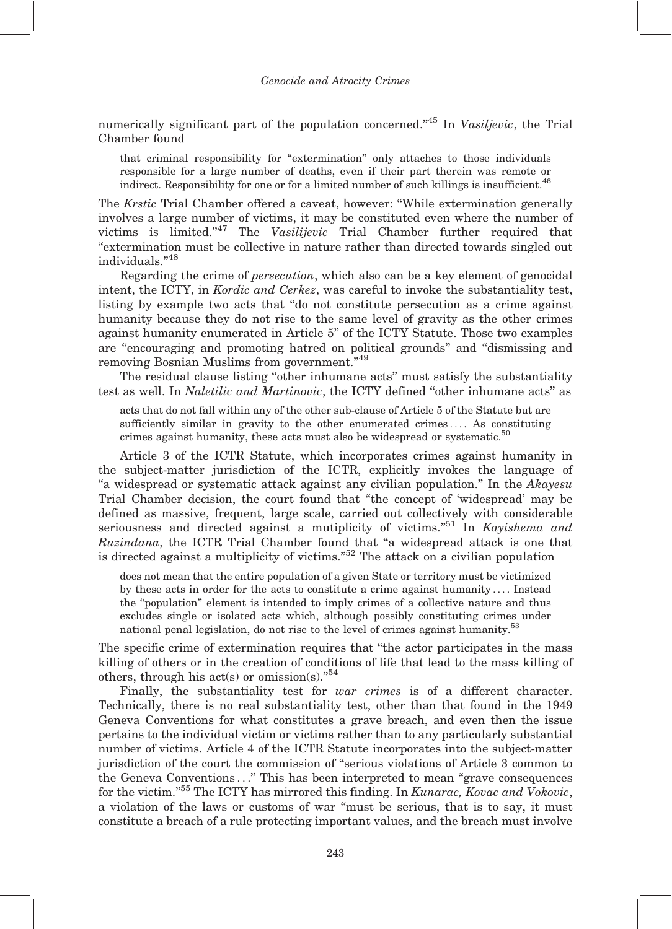numerically significant part of the population concerned."<sup>45</sup> In Vasiljevic, the Trial Chamber found

that criminal responsibility for ''extermination'' only attaches to those individuals responsible for a large number of deaths, even if their part therein was remote or indirect. Responsibility for one or for a limited number of such killings is insufficient. $46$ 

The Krstic Trial Chamber offered a caveat, however: ''While extermination generally involves a large number of victims, it may be constituted even where the number of victims is limited."<sup>47</sup> The Vasilijevic Trial Chamber further required that ''extermination must be collective in nature rather than directed towards singled out individuals."48

Regarding the crime of persecution, which also can be a key element of genocidal intent, the ICTY, in *Kordic and Cerkez*, was careful to invoke the substantiality test, listing by example two acts that ''do not constitute persecution as a crime against humanity because they do not rise to the same level of gravity as the other crimes against humanity enumerated in Article 5'' of the ICTY Statute. Those two examples are ''encouraging and promoting hatred on political grounds'' and ''dismissing and removing Bosnian Muslims from government."<sup>49</sup>

The residual clause listing ''other inhumane acts'' must satisfy the substantiality test as well. In *Naletilic and Martinovic*, the ICTY defined "other inhumane acts" as

acts that do not fall within any of the other sub-clause of Article 5 of the Statute but are sufficiently similar in gravity to the other enumerated crimes ... . As constituting crimes against humanity, these acts must also be widespread or systematic.<sup>50</sup>

Article 3 of the ICTR Statute, which incorporates crimes against humanity in the subject-matter jurisdiction of the ICTR, explicitly invokes the language of "a widespread or systematic attack against any civilian population." In the Akayesu Trial Chamber decision, the court found that ''the concept of 'widespread' may be defined as massive, frequent, large scale, carried out collectively with considerable seriousness and directed against a mutiplicity of victims. $^{551}$  In Kayishema and Ruzindana, the ICTR Trial Chamber found that "a widespread attack is one that is directed against a multiplicity of victims.<sup> $52$ </sup> The attack on a civilian population

does not mean that the entire population of a given State or territory must be victimized by these acts in order for the acts to constitute a crime against humanity ... . Instead the ''population'' element is intended to imply crimes of a collective nature and thus excludes single or isolated acts which, although possibly constituting crimes under national penal legislation, do not rise to the level of crimes against humanity.<sup>53</sup>

The specific crime of extermination requires that ''the actor participates in the mass killing of others or in the creation of conditions of life that lead to the mass killing of others, through his act(s) or omission(s). $^{54}$ 

Finally, the substantiality test for *war crimes* is of a different character. Technically, there is no real substantiality test, other than that found in the 1949 Geneva Conventions for what constitutes a grave breach, and even then the issue pertains to the individual victim or victims rather than to any particularly substantial number of victims. Article 4 of the ICTR Statute incorporates into the subject-matter jurisdiction of the court the commission of ''serious violations of Article 3 common to the Geneva Conventions ...'' This has been interpreted to mean ''grave consequences for the victim."<sup>55</sup> The ICTY has mirrored this finding. In *Kunarac, Kovac and Vokovic*, a violation of the laws or customs of war ''must be serious, that is to say, it must constitute a breach of a rule protecting important values, and the breach must involve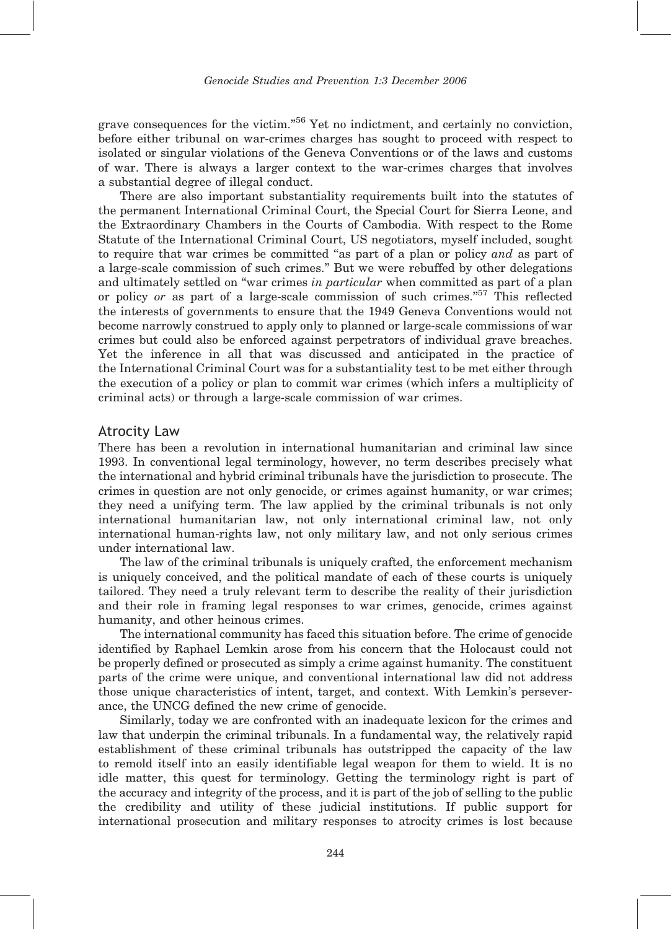grave consequences for the victim."<sup>56</sup> Yet no indictment, and certainly no conviction, before either tribunal on war-crimes charges has sought to proceed with respect to isolated or singular violations of the Geneva Conventions or of the laws and customs of war. There is always a larger context to the war-crimes charges that involves a substantial degree of illegal conduct.

There are also important substantiality requirements built into the statutes of the permanent International Criminal Court, the Special Court for Sierra Leone, and the Extraordinary Chambers in the Courts of Cambodia. With respect to the Rome Statute of the International Criminal Court, US negotiators, myself included, sought to require that war crimes be committed ''as part of a plan or policy and as part of a large-scale commission of such crimes.'' But we were rebuffed by other delegations and ultimately settled on "war crimes in particular when committed as part of a plan or policy or as part of a large-scale commission of such crimes."<sup>57</sup> This reflected the interests of governments to ensure that the 1949 Geneva Conventions would not become narrowly construed to apply only to planned or large-scale commissions of war crimes but could also be enforced against perpetrators of individual grave breaches. Yet the inference in all that was discussed and anticipated in the practice of the International Criminal Court was for a substantiality test to be met either through the execution of a policy or plan to commit war crimes (which infers a multiplicity of criminal acts) or through a large-scale commission of war crimes.

#### Atrocity Law

There has been a revolution in international humanitarian and criminal law since 1993. In conventional legal terminology, however, no term describes precisely what the international and hybrid criminal tribunals have the jurisdiction to prosecute. The crimes in question are not only genocide, or crimes against humanity, or war crimes; they need a unifying term. The law applied by the criminal tribunals is not only international humanitarian law, not only international criminal law, not only international human-rights law, not only military law, and not only serious crimes under international law.

The law of the criminal tribunals is uniquely crafted, the enforcement mechanism is uniquely conceived, and the political mandate of each of these courts is uniquely tailored. They need a truly relevant term to describe the reality of their jurisdiction and their role in framing legal responses to war crimes, genocide, crimes against humanity, and other heinous crimes.

The international community has faced this situation before. The crime of genocide identified by Raphael Lemkin arose from his concern that the Holocaust could not be properly defined or prosecuted as simply a crime against humanity. The constituent parts of the crime were unique, and conventional international law did not address those unique characteristics of intent, target, and context. With Lemkin's perseverance, the UNCG defined the new crime of genocide.

Similarly, today we are confronted with an inadequate lexicon for the crimes and law that underpin the criminal tribunals. In a fundamental way, the relatively rapid establishment of these criminal tribunals has outstripped the capacity of the law to remold itself into an easily identifiable legal weapon for them to wield. It is no idle matter, this quest for terminology. Getting the terminology right is part of the accuracy and integrity of the process, and it is part of the job of selling to the public the credibility and utility of these judicial institutions. If public support for international prosecution and military responses to atrocity crimes is lost because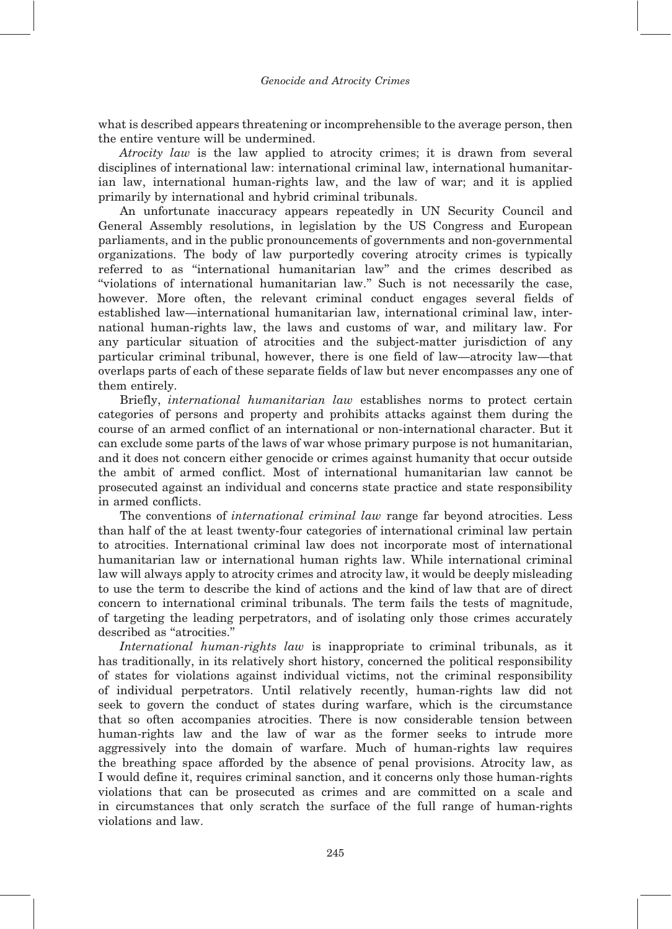what is described appears threatening or incomprehensible to the average person, then the entire venture will be undermined.

Atrocity law is the law applied to atrocity crimes; it is drawn from several disciplines of international law: international criminal law, international humanitarian law, international human-rights law, and the law of war; and it is applied primarily by international and hybrid criminal tribunals.

An unfortunate inaccuracy appears repeatedly in UN Security Council and General Assembly resolutions, in legislation by the US Congress and European parliaments, and in the public pronouncements of governments and non-governmental organizations. The body of law purportedly covering atrocity crimes is typically referred to as ''international humanitarian law'' and the crimes described as ''violations of international humanitarian law.'' Such is not necessarily the case, however. More often, the relevant criminal conduct engages several fields of established law—international humanitarian law, international criminal law, international human-rights law, the laws and customs of war, and military law. For any particular situation of atrocities and the subject-matter jurisdiction of any particular criminal tribunal, however, there is one field of law—atrocity law—that overlaps parts of each of these separate fields of law but never encompasses any one of them entirely.

Briefly, international humanitarian law establishes norms to protect certain categories of persons and property and prohibits attacks against them during the course of an armed conflict of an international or non-international character. But it can exclude some parts of the laws of war whose primary purpose is not humanitarian, and it does not concern either genocide or crimes against humanity that occur outside the ambit of armed conflict. Most of international humanitarian law cannot be prosecuted against an individual and concerns state practice and state responsibility in armed conflicts.

The conventions of international criminal law range far beyond atrocities. Less than half of the at least twenty-four categories of international criminal law pertain to atrocities. International criminal law does not incorporate most of international humanitarian law or international human rights law. While international criminal law will always apply to atrocity crimes and atrocity law, it would be deeply misleading to use the term to describe the kind of actions and the kind of law that are of direct concern to international criminal tribunals. The term fails the tests of magnitude, of targeting the leading perpetrators, and of isolating only those crimes accurately described as "atrocities."

International human-rights law is inappropriate to criminal tribunals, as it has traditionally, in its relatively short history, concerned the political responsibility of states for violations against individual victims, not the criminal responsibility of individual perpetrators. Until relatively recently, human-rights law did not seek to govern the conduct of states during warfare, which is the circumstance that so often accompanies atrocities. There is now considerable tension between human-rights law and the law of war as the former seeks to intrude more aggressively into the domain of warfare. Much of human-rights law requires the breathing space afforded by the absence of penal provisions. Atrocity law, as I would define it, requires criminal sanction, and it concerns only those human-rights violations that can be prosecuted as crimes and are committed on a scale and in circumstances that only scratch the surface of the full range of human-rights violations and law.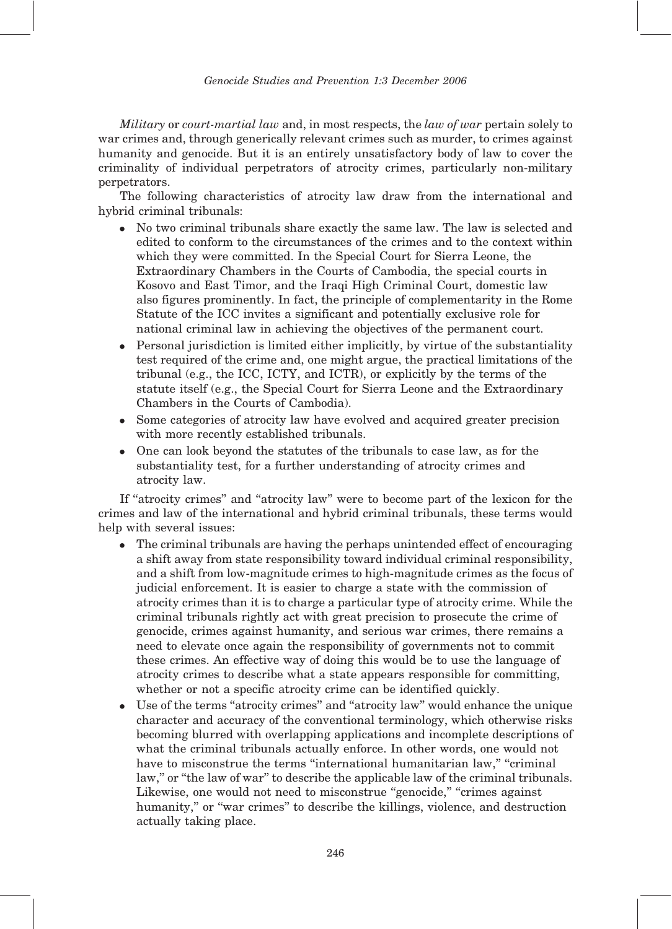Military or court-martial law and, in most respects, the law of war pertain solely to war crimes and, through generically relevant crimes such as murder, to crimes against humanity and genocide. But it is an entirely unsatisfactory body of law to cover the criminality of individual perpetrators of atrocity crimes, particularly non-military perpetrators.

The following characteristics of atrocity law draw from the international and hybrid criminal tribunals:

- No two criminal tribunals share exactly the same law. The law is selected and edited to conform to the circumstances of the crimes and to the context within which they were committed. In the Special Court for Sierra Leone, the Extraordinary Chambers in the Courts of Cambodia, the special courts in Kosovo and East Timor, and the Iraqi High Criminal Court, domestic law also figures prominently. In fact, the principle of complementarity in the Rome Statute of the ICC invites a significant and potentially exclusive role for national criminal law in achieving the objectives of the permanent court.
- Personal jurisdiction is limited either implicitly, by virtue of the substantiality test required of the crime and, one might argue, the practical limitations of the tribunal (e.g., the ICC, ICTY, and ICTR), or explicitly by the terms of the statute itself (e.g., the Special Court for Sierra Leone and the Extraordinary Chambers in the Courts of Cambodia).
- Some categories of atrocity law have evolved and acquired greater precision with more recently established tribunals.
- One can look beyond the statutes of the tribunals to case law, as for the substantiality test, for a further understanding of atrocity crimes and atrocity law.

If "atrocity crimes" and "atrocity law" were to become part of the lexicon for the crimes and law of the international and hybrid criminal tribunals, these terms would help with several issues:

- The criminal tribunals are having the perhaps unintended effect of encouraging a shift away from state responsibility toward individual criminal responsibility, and a shift from low-magnitude crimes to high-magnitude crimes as the focus of judicial enforcement. It is easier to charge a state with the commission of atrocity crimes than it is to charge a particular type of atrocity crime. While the criminal tribunals rightly act with great precision to prosecute the crime of genocide, crimes against humanity, and serious war crimes, there remains a need to elevate once again the responsibility of governments not to commit these crimes. An effective way of doing this would be to use the language of atrocity crimes to describe what a state appears responsible for committing, whether or not a specific atrocity crime can be identified quickly.
- Use of the terms ''atrocity crimes'' and ''atrocity law'' would enhance the unique character and accuracy of the conventional terminology, which otherwise risks becoming blurred with overlapping applications and incomplete descriptions of what the criminal tribunals actually enforce. In other words, one would not have to misconstrue the terms "international humanitarian law," "criminal law," or "the law of war" to describe the applicable law of the criminal tribunals. Likewise, one would not need to misconstrue "genocide," "crimes against humanity," or "war crimes" to describe the killings, violence, and destruction actually taking place.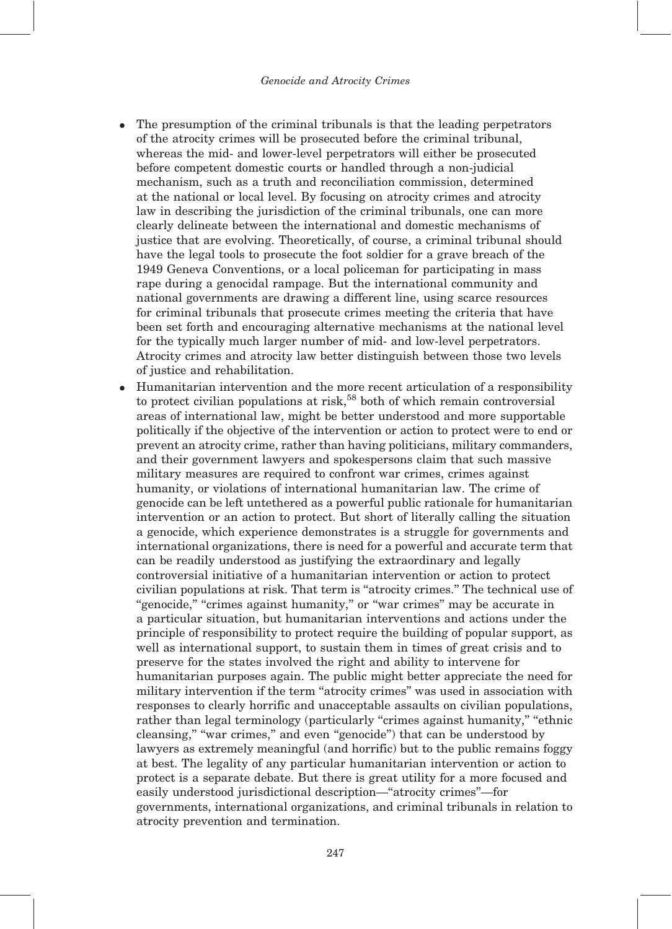- The presumption of the criminal tribunals is that the leading perpetrators of the atrocity crimes will be prosecuted before the criminal tribunal, whereas the mid- and lower-level perpetrators will either be prosecuted before competent domestic courts or handled through a non-judicial mechanism, such as a truth and reconciliation commission, determined at the national or local level. By focusing on atrocity crimes and atrocity law in describing the jurisdiction of the criminal tribunals, one can more clearly delineate between the international and domestic mechanisms of justice that are evolving. Theoretically, of course, a criminal tribunal should have the legal tools to prosecute the foot soldier for a grave breach of the 1949 Geneva Conventions, or a local policeman for participating in mass rape during a genocidal rampage. But the international community and national governments are drawing a different line, using scarce resources for criminal tribunals that prosecute crimes meeting the criteria that have been set forth and encouraging alternative mechanisms at the national level for the typically much larger number of mid- and low-level perpetrators. Atrocity crimes and atrocity law better distinguish between those two levels of justice and rehabilitation.
- Humanitarian intervention and the more recent articulation of a responsibility to protect civilian populations at risk,<sup>58</sup> both of which remain controversial areas of international law, might be better understood and more supportable politically if the objective of the intervention or action to protect were to end or prevent an atrocity crime, rather than having politicians, military commanders, and their government lawyers and spokespersons claim that such massive military measures are required to confront war crimes, crimes against humanity, or violations of international humanitarian law. The crime of genocide can be left untethered as a powerful public rationale for humanitarian intervention or an action to protect. But short of literally calling the situation a genocide, which experience demonstrates is a struggle for governments and international organizations, there is need for a powerful and accurate term that can be readily understood as justifying the extraordinary and legally controversial initiative of a humanitarian intervention or action to protect civilian populations at risk. That term is ''atrocity crimes.'' The technical use of "genocide," "crimes against humanity," or "war crimes" may be accurate in a particular situation, but humanitarian interventions and actions under the principle of responsibility to protect require the building of popular support, as well as international support, to sustain them in times of great crisis and to preserve for the states involved the right and ability to intervene for humanitarian purposes again. The public might better appreciate the need for military intervention if the term ''atrocity crimes'' was used in association with responses to clearly horrific and unacceptable assaults on civilian populations, rather than legal terminology (particularly "crimes against humanity," "ethnic cleansing," "war crimes," and even "genocide") that can be understood by lawyers as extremely meaningful (and horrific) but to the public remains foggy at best. The legality of any particular humanitarian intervention or action to protect is a separate debate. But there is great utility for a more focused and easily understood jurisdictional description—''atrocity crimes''—for governments, international organizations, and criminal tribunals in relation to atrocity prevention and termination.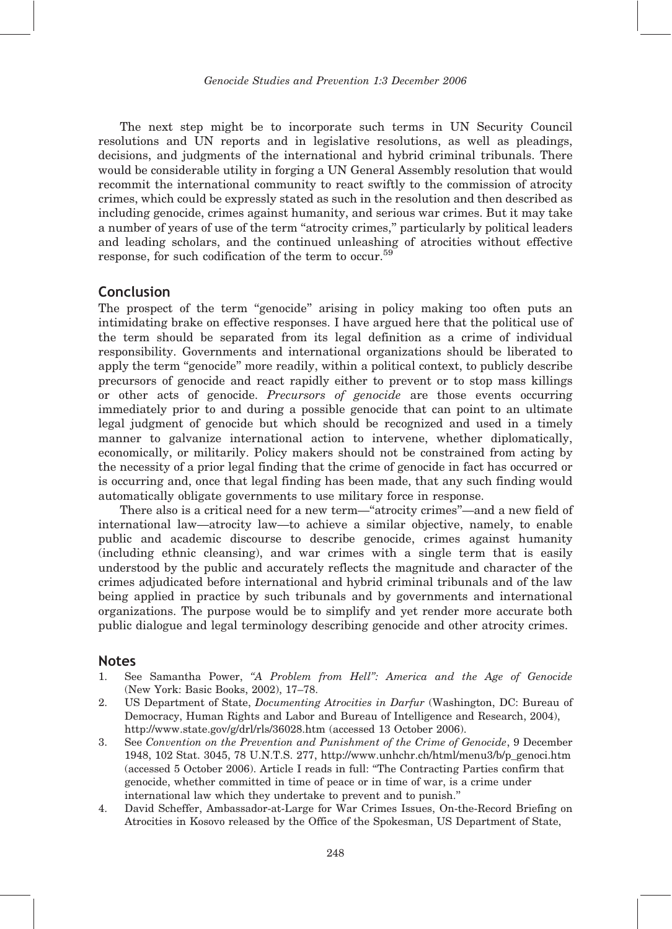The next step might be to incorporate such terms in UN Security Council resolutions and UN reports and in legislative resolutions, as well as pleadings, decisions, and judgments of the international and hybrid criminal tribunals. There would be considerable utility in forging a UN General Assembly resolution that would recommit the international community to react swiftly to the commission of atrocity crimes, which could be expressly stated as such in the resolution and then described as including genocide, crimes against humanity, and serious war crimes. But it may take a number of years of use of the term "atrocity crimes," particularly by political leaders and leading scholars, and the continued unleashing of atrocities without effective response, for such codification of the term to occur.<sup>59</sup>

### Conclusion

The prospect of the term "genocide" arising in policy making too often puts an intimidating brake on effective responses. I have argued here that the political use of the term should be separated from its legal definition as a crime of individual responsibility. Governments and international organizations should be liberated to apply the term "genocide" more readily, within a political context, to publicly describe precursors of genocide and react rapidly either to prevent or to stop mass killings or other acts of genocide. Precursors of genocide are those events occurring immediately prior to and during a possible genocide that can point to an ultimate legal judgment of genocide but which should be recognized and used in a timely manner to galvanize international action to intervene, whether diplomatically, economically, or militarily. Policy makers should not be constrained from acting by the necessity of a prior legal finding that the crime of genocide in fact has occurred or is occurring and, once that legal finding has been made, that any such finding would automatically obligate governments to use military force in response.

There also is a critical need for a new term—''atrocity crimes''—and a new field of international law—atrocity law—to achieve a similar objective, namely, to enable public and academic discourse to describe genocide, crimes against humanity (including ethnic cleansing), and war crimes with a single term that is easily understood by the public and accurately reflects the magnitude and character of the crimes adjudicated before international and hybrid criminal tribunals and of the law being applied in practice by such tribunals and by governments and international organizations. The purpose would be to simplify and yet render more accurate both public dialogue and legal terminology describing genocide and other atrocity crimes.

#### Notes

- 1. See Samantha Power, "A Problem from Hell": America and the Age of Genocide (New York: Basic Books, 2002), 17–78.
- 2. US Department of State, Documenting Atrocities in Darfur (Washington, DC: Bureau of Democracy, Human Rights and Labor and Bureau of Intelligence and Research, 2004), http://www.state.gov/g/drl/rls/36028.htm (accessed 13 October 2006).
- 3. See Convention on the Prevention and Punishment of the Crime of Genocide, 9 December 1948, 102 Stat. 3045, 78 U.N.T.S. 277, http://www.unhchr.ch/html/menu3/b/p\_genoci.htm (accessed 5 October 2006). Article I reads in full: ''The Contracting Parties confirm that genocide, whether committed in time of peace or in time of war, is a crime under international law which they undertake to prevent and to punish.''
- 4. David Scheffer, Ambassador-at-Large for War Crimes Issues, On-the-Record Briefing on Atrocities in Kosovo released by the Office of the Spokesman, US Department of State,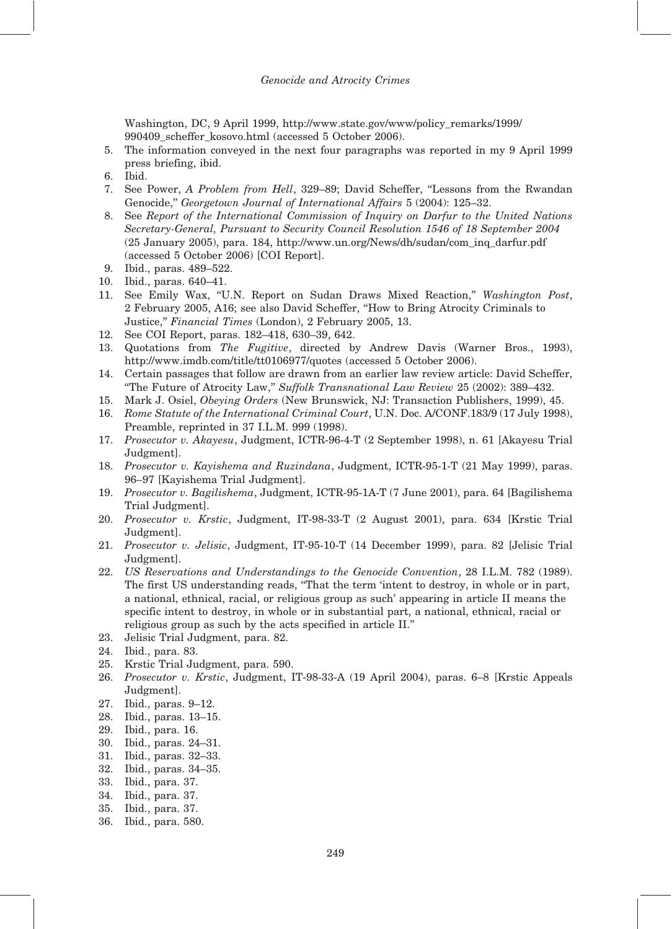Washington, DC, 9 April 1999, http://www.state.gov/www/policy\_remarks/1999/ 990409\_scheffer\_kosovo.html (accessed 5 October 2006).

- 5. The information conveyed in the next four paragraphs was reported in my 9 April 1999 press briefing, ibid.
- 6. Ibid.
- 7. See Power, A Problem from Hell, 329–89; David Scheffer, "Lessons from the Rwandan Genocide,'' Georgetown Journal of International Affairs 5 (2004): 125–32.
- 8. See Report of the International Commission of Inquiry on Darfur to the United Nations Secretary-General, Pursuant to Security Council Resolution 1546 of 18 September 2004 (25 January 2005), para. 184, http://www.un.org/News/dh/sudan/com\_inq\_darfur.pdf (accessed 5 October 2006) [COI Report].
- 9. Ibid., paras. 489–522.
- 10. Ibid., paras. 640–41.
- 11. See Emily Wax, ''U.N. Report on Sudan Draws Mixed Reaction,'' Washington Post, 2 February 2005, A16; see also David Scheffer, ''How to Bring Atrocity Criminals to Justice,'' Financial Times (London), 2 February 2005, 13.
- 12. See COI Report, paras. 182–418, 630–39, 642.
- 13. Quotations from The Fugitive, directed by Andrew Davis (Warner Bros., 1993), http://www.imdb.com/title/tt0106977/quotes (accessed 5 October 2006).
- 14. Certain passages that follow are drawn from an earlier law review article: David Scheffer, ''The Future of Atrocity Law,'' Suffolk Transnational Law Review 25 (2002): 389–432.
- 15. Mark J. Osiel, Obeying Orders (New Brunswick, NJ: Transaction Publishers, 1999), 45.
- 16. Rome Statute of the International Criminal Court, U.N. Doc. A/CONF.183/9 (17 July 1998), Preamble, reprinted in 37 I.L.M. 999 (1998).
- 17. Prosecutor v. Akayesu, Judgment, ICTR-96-4-T (2 September 1998), n. 61 [Akayesu Trial Judgment].
- 18. Prosecutor v. Kayishema and Ruzindana, Judgment, ICTR-95-1-T (21 May 1999), paras. 96–97 [Kayishema Trial Judgment].
- 19. Prosecutor v. Bagilishema, Judgment, ICTR-95-1A-T (7 June 2001), para. 64 [Bagilishema Trial Judgment].
- 20. Prosecutor v. Krstic, Judgment, IT-98-33-T (2 August 2001), para. 634 [Krstic Trial Judgment].
- 21. Prosecutor v. Jelisic, Judgment, IT-95-10-T (14 December 1999), para. 82 [Jelisic Trial Judgment].
- 22. US Reservations and Understandings to the Genocide Convention, 28 I.L.M. 782 (1989). The first US understanding reads, ''That the term 'intent to destroy, in whole or in part, a national, ethnical, racial, or religious group as such' appearing in article II means the specific intent to destroy, in whole or in substantial part, a national, ethnical, racial or religious group as such by the acts specified in article II.''
- 23. Jelisic Trial Judgment, para. 82.
- 24. Ibid., para. 83.
- 25. Krstic Trial Judgment, para. 590.
- 26. Prosecutor v. Krstic, Judgment, IT-98-33-A (19 April 2004), paras. 6–8 [Krstic Appeals Judgment].
- 27. Ibid., paras. 9–12.
- 28. Ibid., paras. 13–15.
- 29. Ibid., para. 16.
- 30. Ibid., paras. 24–31.
- 31. Ibid., paras. 32–33.
- 32. Ibid., paras. 34–35.
- 33. Ibid., para. 37.
- 34. Ibid., para. 37.
- 35. Ibid., para. 37.
- 36. Ibid., para. 580.